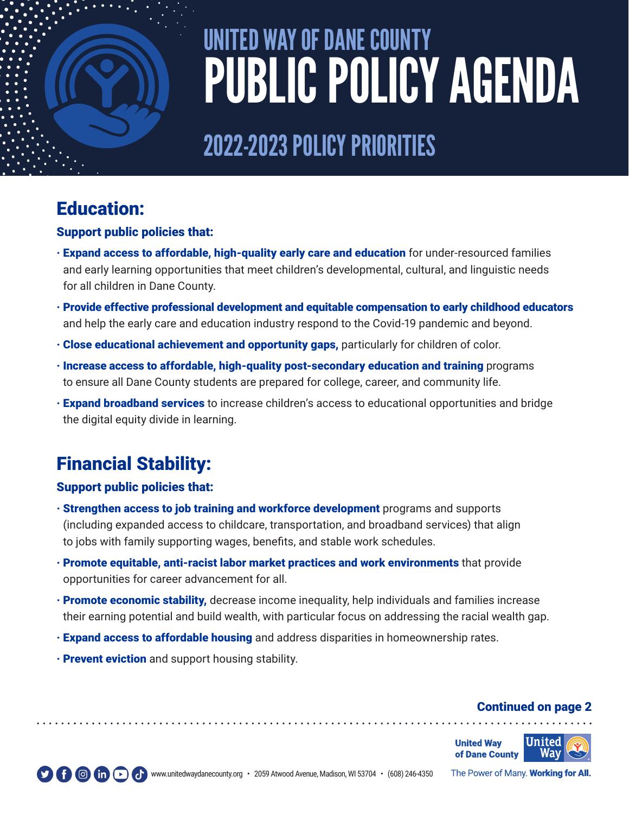

# UNITED WAY OF DANE COUNTY PUBLIC POLICY AGENDA

# 2022-2023 POLICY PRIORITIES

### Education:

#### Support public policies that:

- · Expand access to affordable, high-quality early care and education for under-resourced families and early learning opportunities that meet children's developmental, cultural, and linguistic needs for all children in Dane County.
- · Provide effective professional development and equitable compensation to early childhood educators and help the early care and education industry respond to the Covid-19 pandemic and beyond.
- · Close educational achievement and opportunity gaps, particularly for children of color.
- · Increase access to affordable, high-quality post-secondary education and training programs to ensure all Dane County students are prepared for college, career, and community life.
- · Expand broadband services to increase children's access to educational opportunities and bridge the digital equity divide in learning.

## Financial Stability:

### Support public policies that:

- · Strengthen access to job training and workforce development programs and supports (including expanded access to childcare, transportation, and broadband services) that align to jobs with family supporting wages, benefits, and stable work schedules.
- · Promote equitable, anti-racist labor market practices and work environments that provide opportunities for career advancement for all.
- · Promote economic stability, decrease income inequality, help individuals and families increase their earning potential and build wealth, with particular focus on addressing the racial wealth gap.
- · Expand access to affordable housing and address disparities in homeownership rates.
- **Prevent eviction** and support housing stability.

### Continued on page 2





The Power of Many. Working for All.